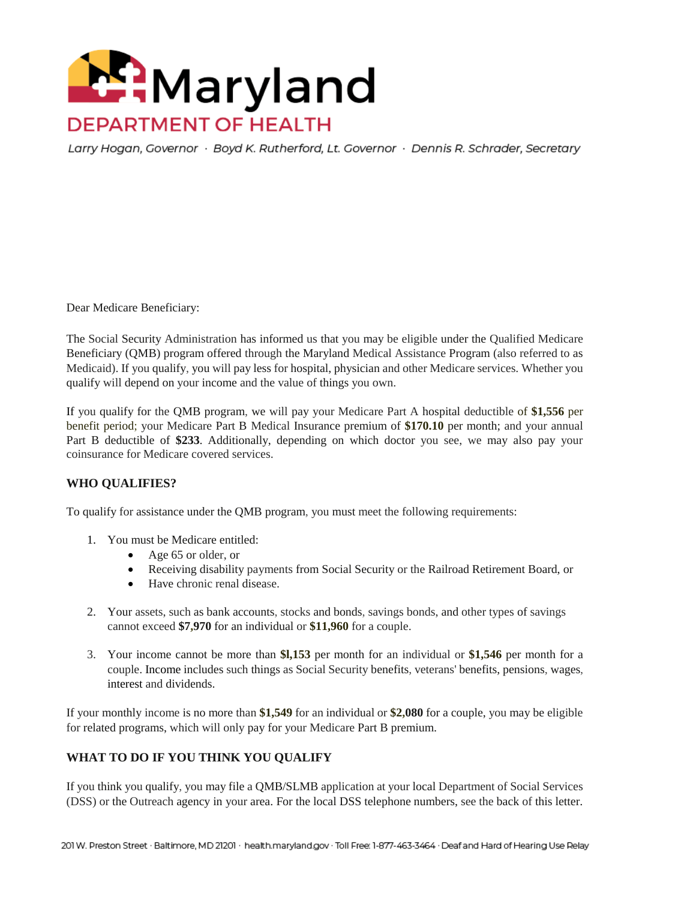

Larry Hogan, Governor · Boyd K. Rutherford, Lt. Governor · Dennis R. Schrader, Secretary

Dear Medicare Beneficiary:

The Social Security Administration has informed us that you may be eligible under the Qualified Medicare Beneficiary (QMB) program offered through the Maryland Medical Assistance Program (also referred to as Medicaid). If you qualify, you will pay less for hospital, physician and other Medicare services. Whether you qualify will depend on your income and the value of things you own.

If you qualify for the QMB program, we will pay your Medicare Part A hospital deductible of **\$1,556** per benefit period; your Medicare Part B Medical Insurance premium of **\$170.10** per month; and your annual Part B deductible of **\$233**. Additionally, depending on which doctor you see, we may also pay your coinsurance for Medicare covered services.

## **WHO QUALIFIES?**

To qualify for assistance under the QMB program, you must meet the following requirements:

- 1. You must be Medicare entitled:
	- Age 65 or older, or
	- Receiving disability payments from Social Security or the Railroad Retirement Board, or
	- Have chronic renal disease.
- 2. Your assets, such as bank accounts, stocks and bonds, savings bonds, and other types of savings cannot exceed **\$7,970** for an individual or **\$11,960** for a couple.
- 3. Your income cannot be more than **\$l,153** per month for an individual or **\$1,546** per month for a couple. Income includes such things as Social Security benefits, veterans' benefits, pensions, wages, interest and dividends.

If your monthly income is no more than **\$1,549** for an individual or **\$2,080** for a couple, you may be eligible for related programs, which will only pay for your Medicare Part B premium.

## **WHAT TO DO IF YOU THINK YOU QUALIFY**

If you think you qualify, you may file a QMB/SLMB application at your local Department of Social Services (DSS) or the Outreach agency in your area. For the local DSS telephone numbers, see the back of this letter.